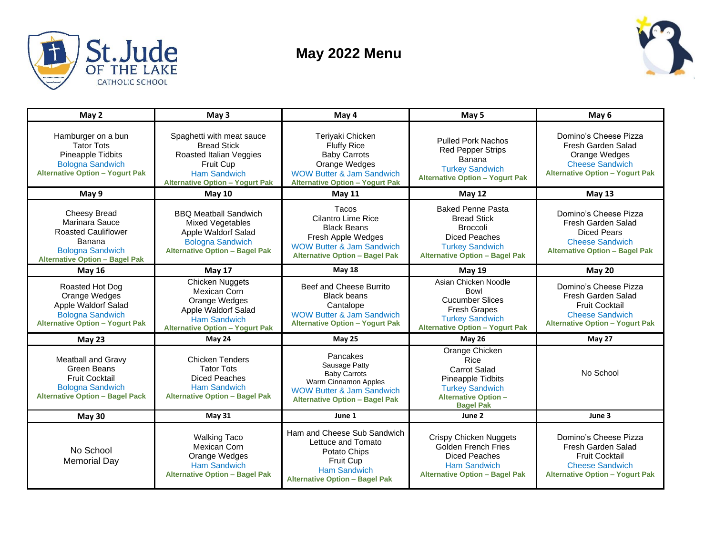

## **May 2022 Menu**



| May 2                                                                                                                                             | May <sub>3</sub>                                                                                                                                         | May 4                                                                                                                                                            | May 5                                                                                                                                                        | May 6                                                                                                                                    |
|---------------------------------------------------------------------------------------------------------------------------------------------------|----------------------------------------------------------------------------------------------------------------------------------------------------------|------------------------------------------------------------------------------------------------------------------------------------------------------------------|--------------------------------------------------------------------------------------------------------------------------------------------------------------|------------------------------------------------------------------------------------------------------------------------------------------|
| Hamburger on a bun<br><b>Tator Tots</b><br>Pineapple Tidbits<br><b>Bologna Sandwich</b><br><b>Alternative Option - Yogurt Pak</b>                 | Spaghetti with meat sauce<br><b>Bread Stick</b><br>Roasted Italian Veggies<br>Fruit Cup<br><b>Ham Sandwich</b><br><b>Alternative Option - Yogurt Pak</b> | Teriyaki Chicken<br><b>Fluffy Rice</b><br><b>Baby Carrots</b><br>Orange Wedges<br><b>WOW Butter &amp; Jam Sandwich</b><br><b>Alternative Option - Yogurt Pak</b> | <b>Pulled Pork Nachos</b><br><b>Red Pepper Strips</b><br>Banana<br><b>Turkey Sandwich</b><br><b>Alternative Option - Yogurt Pak</b>                          | Domino's Cheese Pizza<br>Fresh Garden Salad<br>Orange Wedges<br><b>Cheese Sandwich</b><br><b>Alternative Option - Yogurt Pak</b>         |
| May 9                                                                                                                                             | <b>May 10</b>                                                                                                                                            | <b>May 11</b>                                                                                                                                                    | <b>May 12</b>                                                                                                                                                | May <sub>13</sub>                                                                                                                        |
| <b>Cheesy Bread</b><br>Marinara Sauce<br><b>Roasted Cauliflower</b><br>Banana<br><b>Bologna Sandwich</b><br><b>Alternative Option - Bagel Pak</b> | <b>BBO Meatball Sandwich</b><br>Mixed Vegetables<br>Apple Waldorf Salad<br><b>Bologna Sandwich</b><br><b>Alternative Option - Bagel Pak</b>              | Tacos<br><b>Cilantro Lime Rice</b><br><b>Black Beans</b><br>Fresh Apple Wedges<br><b>WOW Butter &amp; Jam Sandwich</b><br><b>Alternative Option - Bagel Pak</b>  | <b>Baked Penne Pasta</b><br><b>Bread Stick</b><br><b>Broccoli</b><br><b>Diced Peaches</b><br><b>Turkey Sandwich</b><br><b>Alternative Option - Bagel Pak</b> | Domino's Cheese Pizza<br>Fresh Garden Salad<br><b>Diced Pears</b><br><b>Cheese Sandwich</b><br><b>Alternative Option - Bagel Pak</b>     |
| <b>May 16</b>                                                                                                                                     | <b>May 17</b>                                                                                                                                            | <b>May 18</b>                                                                                                                                                    | <b>May 19</b>                                                                                                                                                | <b>May 20</b>                                                                                                                            |
| Roasted Hot Dog<br>Orange Wedges<br>Apple Waldorf Salad<br><b>Bologna Sandwich</b><br><b>Alternative Option - Yogurt Pak</b>                      | Chicken Nuggets<br>Mexican Corn<br>Orange Wedges<br>Apple Waldorf Salad<br><b>Ham Sandwich</b><br><b>Alternative Option - Yogurt Pak</b>                 | Beef and Cheese Burrito<br><b>Black beans</b><br>Cantalope<br><b>WOW Butter &amp; Jam Sandwich</b><br><b>Alternative Option - Yogurt Pak</b>                     | Asian Chicken Noodle<br>Bowl<br><b>Cucumber Slices</b><br><b>Fresh Grapes</b><br><b>Turkey Sandwich</b><br><b>Alternative Option - Yogurt Pak</b>            | Domino's Cheese Pizza<br>Fresh Garden Salad<br><b>Fruit Cocktail</b><br><b>Cheese Sandwich</b><br><b>Alternative Option - Yogurt Pak</b> |
| May $23$                                                                                                                                          | May 24                                                                                                                                                   | <b>May 25</b>                                                                                                                                                    | <b>May 26</b>                                                                                                                                                | May 27                                                                                                                                   |
| <b>Meatball and Gravy</b><br>Green Beans<br><b>Fruit Cocktail</b><br><b>Bologna Sandwich</b><br><b>Alternative Option - Bagel Pack</b>            | <b>Chicken Tenders</b><br><b>Tator Tots</b><br>Diced Peaches<br>Ham Sandwich<br><b>Alternative Option - Bagel Pak</b>                                    | Pancakes<br>Sausage Patty<br><b>Baby Carrots</b><br>Warm Cinnamon Apples<br><b>WOW Butter &amp; Jam Sandwich</b><br><b>Alternative Option - Bagel Pak</b>        | Orange Chicken<br><b>Rice</b><br><b>Carrot Salad</b><br>Pineapple Tidbits<br><b>Turkey Sandwich</b><br><b>Alternative Option -</b><br><b>Bagel Pak</b>       | No School                                                                                                                                |
| <b>May 30</b>                                                                                                                                     | <b>May 31</b>                                                                                                                                            | June 1                                                                                                                                                           | June 2                                                                                                                                                       | June 3                                                                                                                                   |
| No School<br>Memorial Day                                                                                                                         | <b>Walking Taco</b><br><b>Mexican Corn</b><br>Orange Wedges<br><b>Ham Sandwich</b><br><b>Alternative Option - Bagel Pak</b>                              | Ham and Cheese Sub Sandwich<br>Lettuce and Tomato<br>Potato Chips<br><b>Fruit Cup</b><br><b>Ham Sandwich</b><br><b>Alternative Option - Bagel Pak</b>            | <b>Crispy Chicken Nuggets</b><br><b>Golden French Fries</b><br>Diced Peaches<br><b>Ham Sandwich</b><br><b>Alternative Option - Bagel Pak</b>                 | Domino's Cheese Pizza<br>Fresh Garden Salad<br><b>Fruit Cocktail</b><br><b>Cheese Sandwich</b><br><b>Alternative Option - Yogurt Pak</b> |